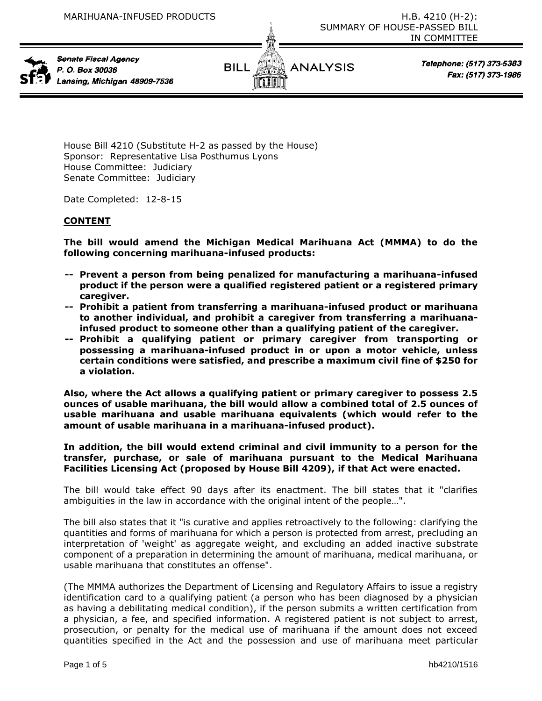

Senate Fiscal Agency P. O. Box 30036 Lansing, Michigan 48909-7536



Telephone: (517) 373-5383 Fax: (517) 373-1986

House Bill 4210 (Substitute H-2 as passed by the House) Sponsor: Representative Lisa Posthumus Lyons House Committee: Judiciary Senate Committee: Judiciary

Date Completed: 12-8-15

# **CONTENT**

**The bill would amend the Michigan Medical Marihuana Act (MMMA) to do the following concerning marihuana-infused products:**

- **-- Prevent a person from being penalized for manufacturing a marihuana-infused product if the person were a qualified registered patient or a registered primary caregiver.**
- **-- Prohibit a patient from transferring a marihuana-infused product or marihuana to another individual, and prohibit a caregiver from transferring a marihuanainfused product to someone other than a qualifying patient of the caregiver.**
- **-- Prohibit a qualifying patient or primary caregiver from transporting or possessing a marihuana-infused product in or upon a motor vehicle, unless certain conditions were satisfied, and prescribe a maximum civil fine of \$250 for a violation.**

**Also, where the Act allows a qualifying patient or primary caregiver to possess 2.5 ounces of usable marihuana, the bill would allow a combined total of 2.5 ounces of usable marihuana and usable marihuana equivalents (which would refer to the amount of usable marihuana in a marihuana-infused product).**

**In addition, the bill would extend criminal and civil immunity to a person for the transfer, purchase, or sale of marihuana pursuant to the Medical Marihuana Facilities Licensing Act (proposed by House Bill 4209), if that Act were enacted.** 

The bill would take effect 90 days after its enactment. The bill states that it "clarifies ambiguities in the law in accordance with the original intent of the people…".

The bill also states that it "is curative and applies retroactively to the following: clarifying the quantities and forms of marihuana for which a person is protected from arrest, precluding an interpretation of 'weight' as aggregate weight, and excluding an added inactive substrate component of a preparation in determining the amount of marihuana, medical marihuana, or usable marihuana that constitutes an offense".

(The MMMA authorizes the Department of Licensing and Regulatory Affairs to issue a registry identification card to a qualifying patient (a person who has been diagnosed by a physician as having a debilitating medical condition), if the person submits a written certification from a physician, a fee, and specified information. A registered patient is not subject to arrest, prosecution, or penalty for the medical use of marihuana if the amount does not exceed quantities specified in the Act and the possession and use of marihuana meet particular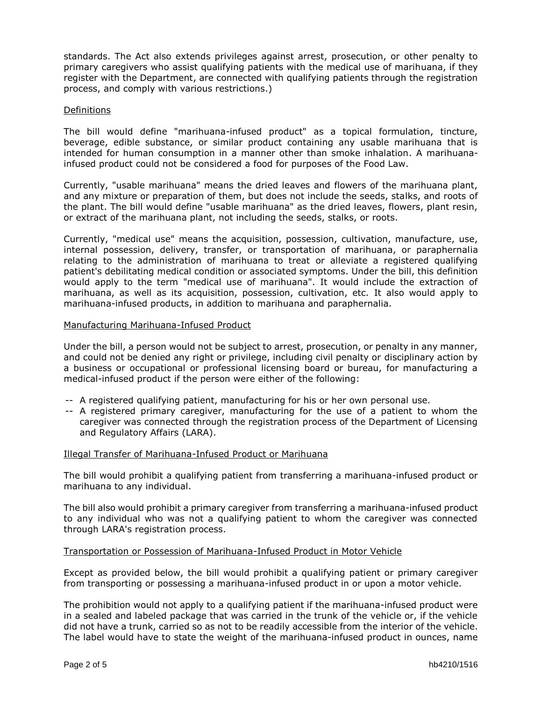standards. The Act also extends privileges against arrest, prosecution, or other penalty to primary caregivers who assist qualifying patients with the medical use of marihuana, if they register with the Department, are connected with qualifying patients through the registration process, and comply with various restrictions.)

## **Definitions**

The bill would define "marihuana-infused product" as a topical formulation, tincture, beverage, edible substance, or similar product containing any usable marihuana that is intended for human consumption in a manner other than smoke inhalation. A marihuanainfused product could not be considered a food for purposes of the Food Law.

Currently, "usable marihuana" means the dried leaves and flowers of the marihuana plant, and any mixture or preparation of them, but does not include the seeds, stalks, and roots of the plant. The bill would define "usable marihuana" as the dried leaves, flowers, plant resin, or extract of the marihuana plant, not including the seeds, stalks, or roots.

Currently, "medical use" means the acquisition, possession, cultivation, manufacture, use, internal possession, delivery, transfer, or transportation of marihuana, or paraphernalia relating to the administration of marihuana to treat or alleviate a registered qualifying patient's debilitating medical condition or associated symptoms. Under the bill, this definition would apply to the term "medical use of marihuana". It would include the extraction of marihuana, as well as its acquisition, possession, cultivation, etc. It also would apply to marihuana-infused products, in addition to marihuana and paraphernalia.

## Manufacturing Marihuana-Infused Product

Under the bill, a person would not be subject to arrest, prosecution, or penalty in any manner, and could not be denied any right or privilege, including civil penalty or disciplinary action by a business or occupational or professional licensing board or bureau, for manufacturing a medical-infused product if the person were either of the following:

- -- A registered qualifying patient, manufacturing for his or her own personal use.
- -- A registered primary caregiver, manufacturing for the use of a patient to whom the caregiver was connected through the registration process of the Department of Licensing and Regulatory Affairs (LARA).

## Illegal Transfer of Marihuana-Infused Product or Marihuana

The bill would prohibit a qualifying patient from transferring a marihuana-infused product or marihuana to any individual.

The bill also would prohibit a primary caregiver from transferring a marihuana-infused product to any individual who was not a qualifying patient to whom the caregiver was connected through LARA's registration process.

# Transportation or Possession of Marihuana-Infused Product in Motor Vehicle

Except as provided below, the bill would prohibit a qualifying patient or primary caregiver from transporting or possessing a marihuana-infused product in or upon a motor vehicle.

The prohibition would not apply to a qualifying patient if the marihuana-infused product were in a sealed and labeled package that was carried in the trunk of the vehicle or, if the vehicle did not have a trunk, carried so as not to be readily accessible from the interior of the vehicle. The label would have to state the weight of the marihuana-infused product in ounces, name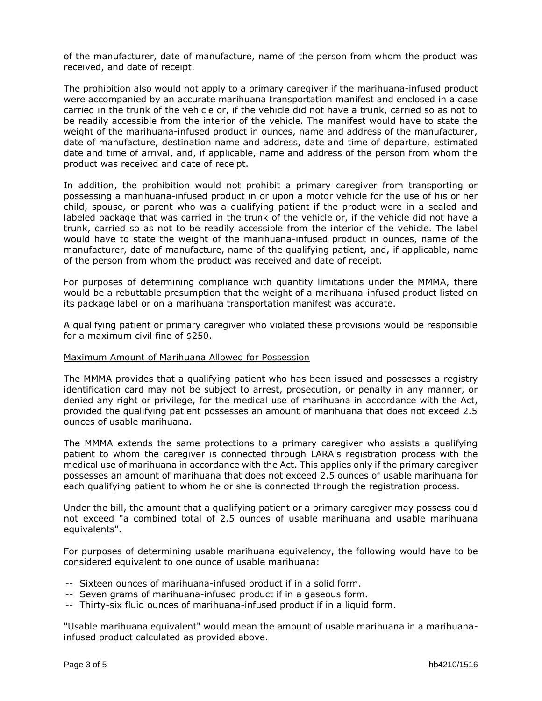of the manufacturer, date of manufacture, name of the person from whom the product was received, and date of receipt.

The prohibition also would not apply to a primary caregiver if the marihuana-infused product were accompanied by an accurate marihuana transportation manifest and enclosed in a case carried in the trunk of the vehicle or, if the vehicle did not have a trunk, carried so as not to be readily accessible from the interior of the vehicle. The manifest would have to state the weight of the marihuana-infused product in ounces, name and address of the manufacturer, date of manufacture, destination name and address, date and time of departure, estimated date and time of arrival, and, if applicable, name and address of the person from whom the product was received and date of receipt.

In addition, the prohibition would not prohibit a primary caregiver from transporting or possessing a marihuana-infused product in or upon a motor vehicle for the use of his or her child, spouse, or parent who was a qualifying patient if the product were in a sealed and labeled package that was carried in the trunk of the vehicle or, if the vehicle did not have a trunk, carried so as not to be readily accessible from the interior of the vehicle. The label would have to state the weight of the marihuana-infused product in ounces, name of the manufacturer, date of manufacture, name of the qualifying patient, and, if applicable, name of the person from whom the product was received and date of receipt.

For purposes of determining compliance with quantity limitations under the MMMA, there would be a rebuttable presumption that the weight of a marihuana-infused product listed on its package label or on a marihuana transportation manifest was accurate.

A qualifying patient or primary caregiver who violated these provisions would be responsible for a maximum civil fine of \$250.

### Maximum Amount of Marihuana Allowed for Possession

The MMMA provides that a qualifying patient who has been issued and possesses a registry identification card may not be subject to arrest, prosecution, or penalty in any manner, or denied any right or privilege, for the medical use of marihuana in accordance with the Act, provided the qualifying patient possesses an amount of marihuana that does not exceed 2.5 ounces of usable marihuana.

The MMMA extends the same protections to a primary caregiver who assists a qualifying patient to whom the caregiver is connected through LARA's registration process with the medical use of marihuana in accordance with the Act. This applies only if the primary caregiver possesses an amount of marihuana that does not exceed 2.5 ounces of usable marihuana for each qualifying patient to whom he or she is connected through the registration process.

Under the bill, the amount that a qualifying patient or a primary caregiver may possess could not exceed "a combined total of 2.5 ounces of usable marihuana and usable marihuana equivalents".

For purposes of determining usable marihuana equivalency, the following would have to be considered equivalent to one ounce of usable marihuana:

- -- Sixteen ounces of marihuana-infused product if in a solid form.
- -- Seven grams of marihuana-infused product if in a gaseous form.
- -- Thirty-six fluid ounces of marihuana-infused product if in a liquid form.

"Usable marihuana equivalent" would mean the amount of usable marihuana in a marihuanainfused product calculated as provided above.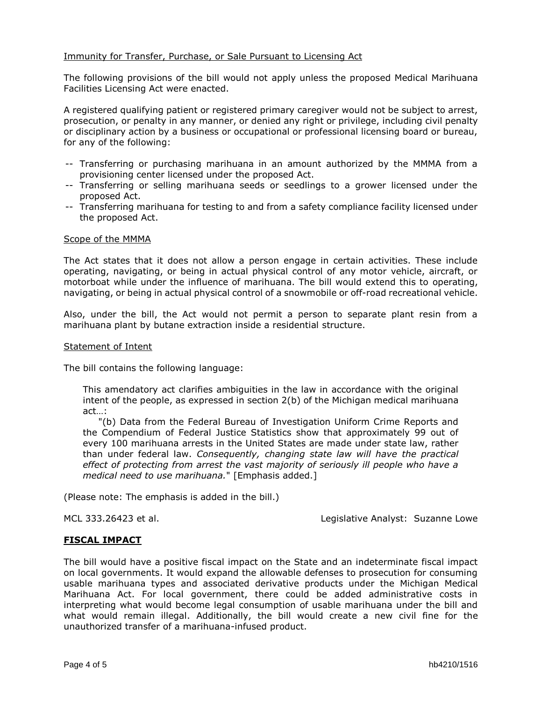# Immunity for Transfer, Purchase, or Sale Pursuant to Licensing Act

The following provisions of the bill would not apply unless the proposed Medical Marihuana Facilities Licensing Act were enacted.

A registered qualifying patient or registered primary caregiver would not be subject to arrest, prosecution, or penalty in any manner, or denied any right or privilege, including civil penalty or disciplinary action by a business or occupational or professional licensing board or bureau, for any of the following:

- -- Transferring or purchasing marihuana in an amount authorized by the MMMA from a provisioning center licensed under the proposed Act.
- -- Transferring or selling marihuana seeds or seedlings to a grower licensed under the proposed Act.
- -- Transferring marihuana for testing to and from a safety compliance facility licensed under the proposed Act.

### Scope of the MMMA

The Act states that it does not allow a person engage in certain activities. These include operating, navigating, or being in actual physical control of any motor vehicle, aircraft, or motorboat while under the influence of marihuana. The bill would extend this to operating, navigating, or being in actual physical control of a snowmobile or off-road recreational vehicle.

Also, under the bill, the Act would not permit a person to separate plant resin from a marihuana plant by butane extraction inside a residential structure.

### Statement of Intent

The bill contains the following language:

This amendatory act clarifies ambiguities in the law in accordance with the original intent of the people, as expressed in section 2(b) of the Michigan medical marihuana act…:

 "(b) Data from the Federal Bureau of Investigation Uniform Crime Reports and the Compendium of Federal Justice Statistics show that approximately 99 out of every 100 marihuana arrests in the United States are made under state law, rather than under federal law. *Consequently, changing state law will have the practical effect of protecting from arrest the vast majority of seriously ill people who have a medical need to use marihuana.*" [Emphasis added.]

(Please note: The emphasis is added in the bill.)

MCL 333.26423 et al. Legislative Analyst: Suzanne Lowe

## **FISCAL IMPACT**

The bill would have a positive fiscal impact on the State and an indeterminate fiscal impact on local governments. It would expand the allowable defenses to prosecution for consuming usable marihuana types and associated derivative products under the Michigan Medical Marihuana Act. For local government, there could be added administrative costs in interpreting what would become legal consumption of usable marihuana under the bill and what would remain illegal. Additionally, the bill would create a new civil fine for the unauthorized transfer of a marihuana-infused product.